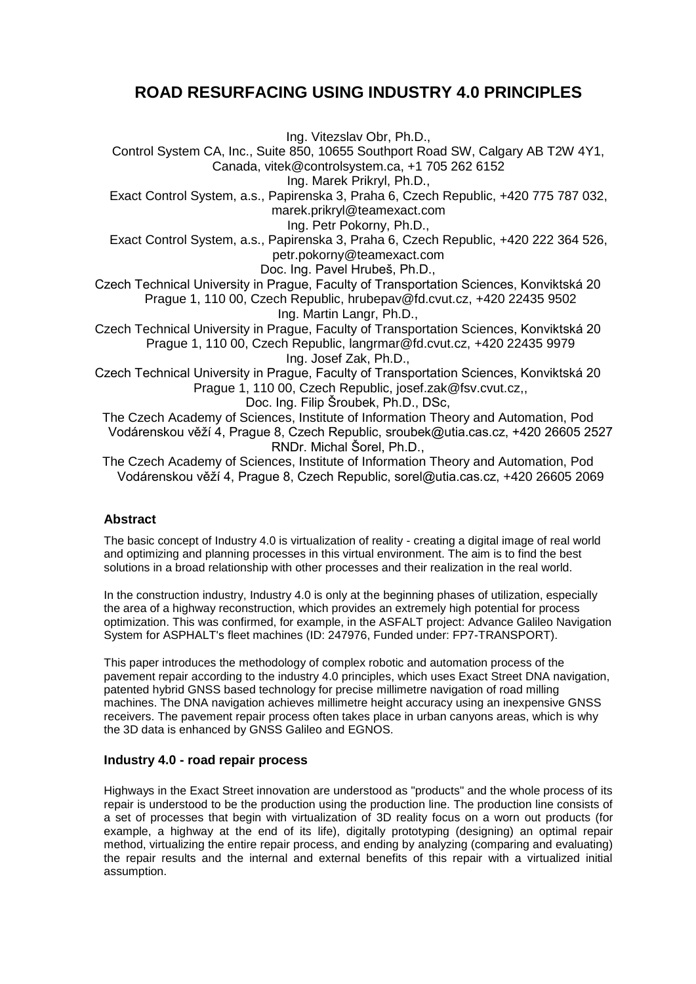# **ROAD RESURFACING USING INDUSTRY 4.0 PRINCIPLES**

Ing. Vitezslav Obr, Ph.D.,

Control System CA, Inc., Suite 850, 10655 Southport Road SW, Calgary AB T2W 4Y1, Canada, vitek@controlsystem.ca, +1 705 262 6152

Ing. Marek Prikryl, Ph.D.,

Exact Control System, a.s., Papirenska 3, Praha 6, Czech Republic, +420 775 787 032, marek.prikryl@teamexact.com

Ing. Petr Pokorny, Ph.D.,

Exact Control System, a.s., Papirenska 3, Praha 6, Czech Republic, +420 222 364 526, petr.pokorny@teamexact.com

Doc. Ing. Pavel Hrubeš, Ph.D.,

Czech Technical University in Prague, Faculty of Transportation Sciences, Konviktská 20 Prague 1, 110 00, Czech Republic, hrubepav@fd.cvut.cz, +420 22435 9502 Ing. Martin Langr, Ph.D.,

Czech Technical University in Prague, Faculty of Transportation Sciences, Konviktská 20 Prague 1, 110 00, Czech Republic, langrmar@fd.cvut.cz, +420 22435 9979 Ing. Josef Zak, Ph.D.,

Czech Technical University in Prague, Faculty of Transportation Sciences, Konviktská 20 Prague 1, 110 00, Czech Republic, josef.zak@fsv.cvut.cz,,

Doc. Ing. Filip Šroubek, Ph.D., DSc,

The Czech Academy of Sciences, Institute of Information Theory and Automation, Pod Vodárenskou věží 4, Prague 8, Czech Republic, sroubek@utia.cas.cz, +420 26605 2527 RNDr. Michal Šorel, Ph.D.,

The Czech Academy of Sciences, Institute of Information Theory and Automation, Pod Vodárenskou věží 4, Prague 8, Czech Republic, sorel@utia.cas.cz, +420 26605 2069

## **Abstract**

The basic concept of Industry 4.0 is virtualization of reality - creating a digital image of real world and optimizing and planning processes in this virtual environment. The aim is to find the best solutions in a broad relationship with other processes and their realization in the real world.

In the construction industry, Industry 4.0 is only at the beginning phases of utilization, especially the area of a highway reconstruction, which provides an extremely high potential for process optimization. This was confirmed, for example, in the ASFALT project: Advance Galileo Navigation System for ASPHALT's fleet machines (ID: 247976, Funded under: FP7-TRANSPORT).

This paper introduces the methodology of complex robotic and automation process of the pavement repair according to the industry 4.0 principles, which uses Exact Street DNA navigation, patented hybrid GNSS based technology for precise millimetre navigation of road milling machines. The DNA navigation achieves millimetre height accuracy using an inexpensive GNSS receivers. The pavement repair process often takes place in urban canyons areas, which is why the 3D data is enhanced by GNSS Galileo and EGNOS.

# **Industry 4.0 - road repair process**

Highways in the Exact Street innovation are understood as "products" and the whole process of its repair is understood to be the production using the production line. The production line consists of a set of processes that begin with virtualization of 3D reality focus on a worn out products (for example, a highway at the end of its life), digitally prototyping (designing) an optimal repair method, virtualizing the entire repair process, and ending by analyzing (comparing and evaluating) the repair results and the internal and external benefits of this repair with a virtualized initial assumption.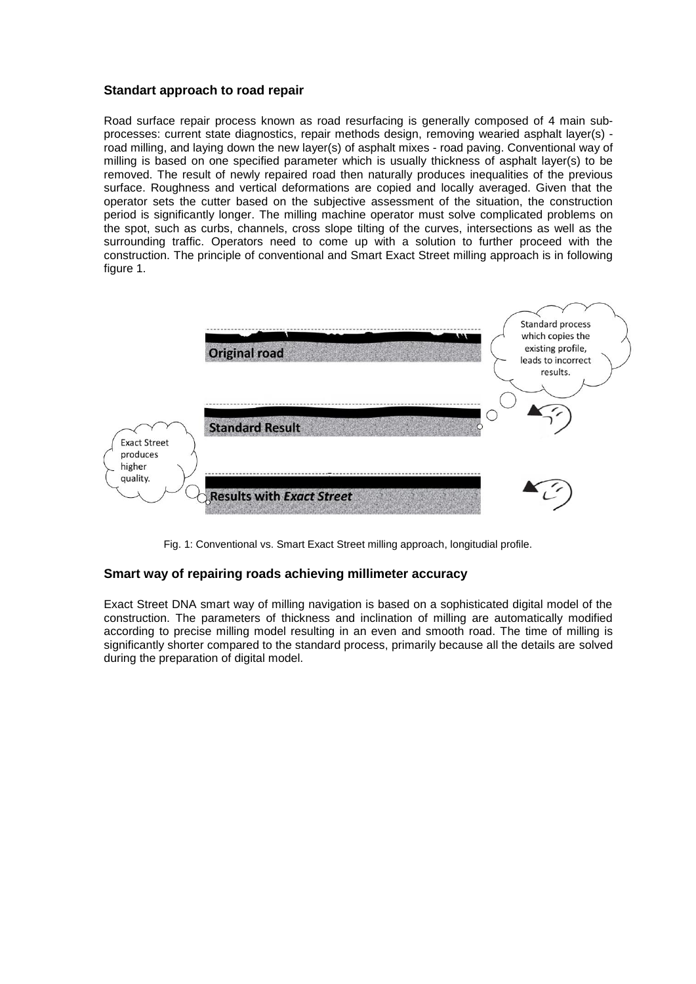### **Standart approach to road repair**

Road surface repair process known as road resurfacing is generally composed of 4 main subprocesses: current state diagnostics, repair methods design, removing wearied asphalt layer(s) road milling, and laying down the new layer(s) of asphalt mixes - road paving. Conventional way of milling is based on one specified parameter which is usually thickness of asphalt layer(s) to be removed. The result of newly repaired road then naturally produces inequalities of the previous surface. Roughness and vertical deformations are copied and locally averaged. Given that the operator sets the cutter based on the subjective assessment of the situation, the construction period is significantly longer. The milling machine operator must solve complicated problems on the spot, such as curbs, channels, cross slope tilting of the curves, intersections as well as the surrounding traffic. Operators need to come up with a solution to further proceed with the construction. The principle of conventional and Smart Exact Street milling approach is in following figure 1.



Fig. 1: Conventional vs. Smart Exact Street milling approach, longitudial profile.

#### **Smart way of repairing roads achieving millimeter accuracy**

Exact Street DNA smart way of milling navigation is based on a sophisticated digital model of the construction. The parameters of thickness and inclination of milling are automatically modified according to precise milling model resulting in an even and smooth road. The time of milling is significantly shorter compared to the standard process, primarily because all the details are solved during the preparation of digital model.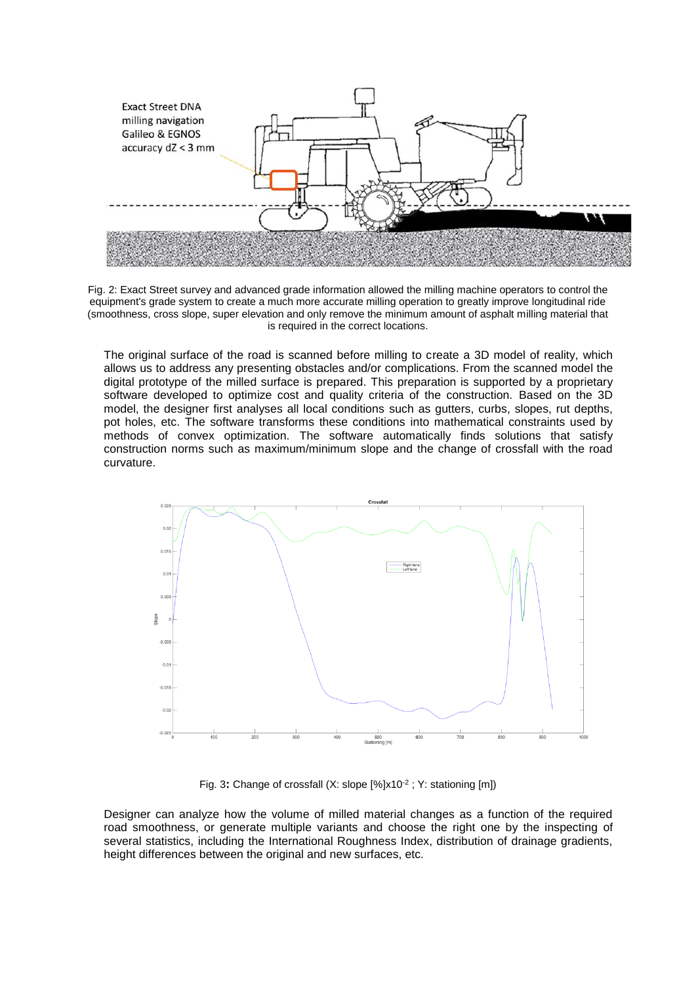

Fig. 2: Exact Street survey and advanced grade information allowed the milling machine operators to control the equipment's grade system to create a much more accurate milling operation to greatly improve longitudinal ride (smoothness, cross slope, super elevation and only remove the minimum amount of asphalt milling material that is required in the correct locations.

The original surface of the road is scanned before milling to create a 3D model of reality, which allows us to address any presenting obstacles and/or complications. From the scanned model the digital prototype of the milled surface is prepared. This preparation is supported by a proprietary software developed to optimize cost and quality criteria of the construction. Based on the 3D model, the designer first analyses all local conditions such as gutters, curbs, slopes, rut depths, pot holes, etc. The software transforms these conditions into mathematical constraints used by methods of convex optimization. The software automatically finds solutions that satisfy construction norms such as maximum/minimum slope and the change of crossfall with the road curvature.



Fig. 3: Change of crossfall (X: slope [%]x10<sup>-2</sup> ; Y: stationing [m])

Designer can analyze how the volume of milled material changes as a function of the required road smoothness, or generate multiple variants and choose the right one by the inspecting of several statistics, including the International Roughness Index, distribution of drainage gradients, height differences between the original and new surfaces, etc.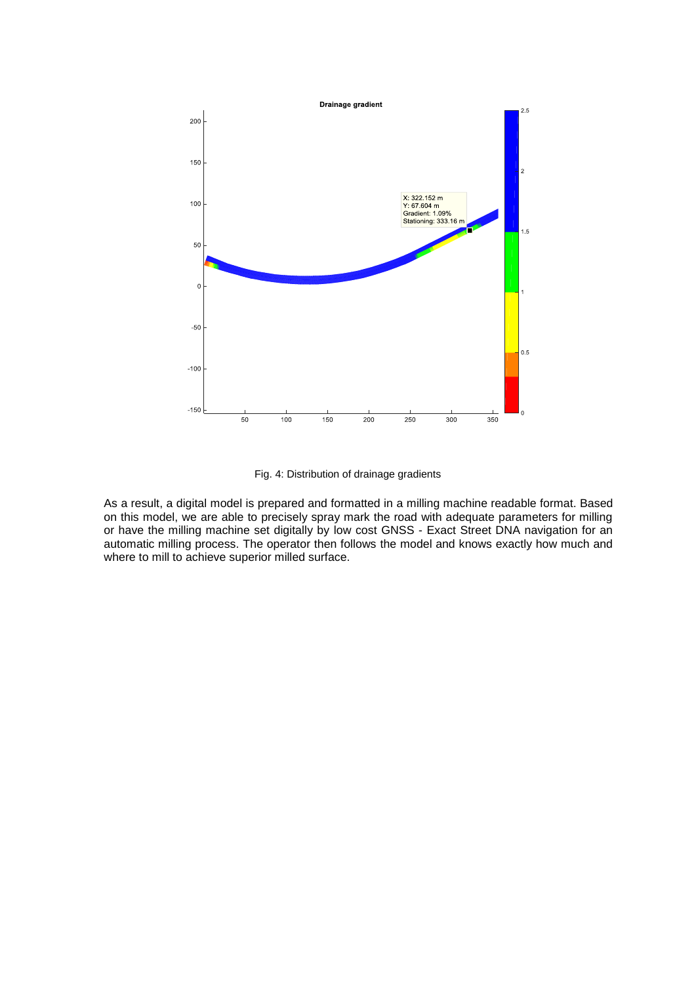



As a result, a digital model is prepared and formatted in a milling machine readable format. Based on this model, we are able to precisely spray mark the road with adequate parameters for milling or have the milling machine set digitally by low cost GNSS - Exact Street DNA navigation for an automatic milling process. The operator then follows the model and knows exactly how much and where to mill to achieve superior milled surface.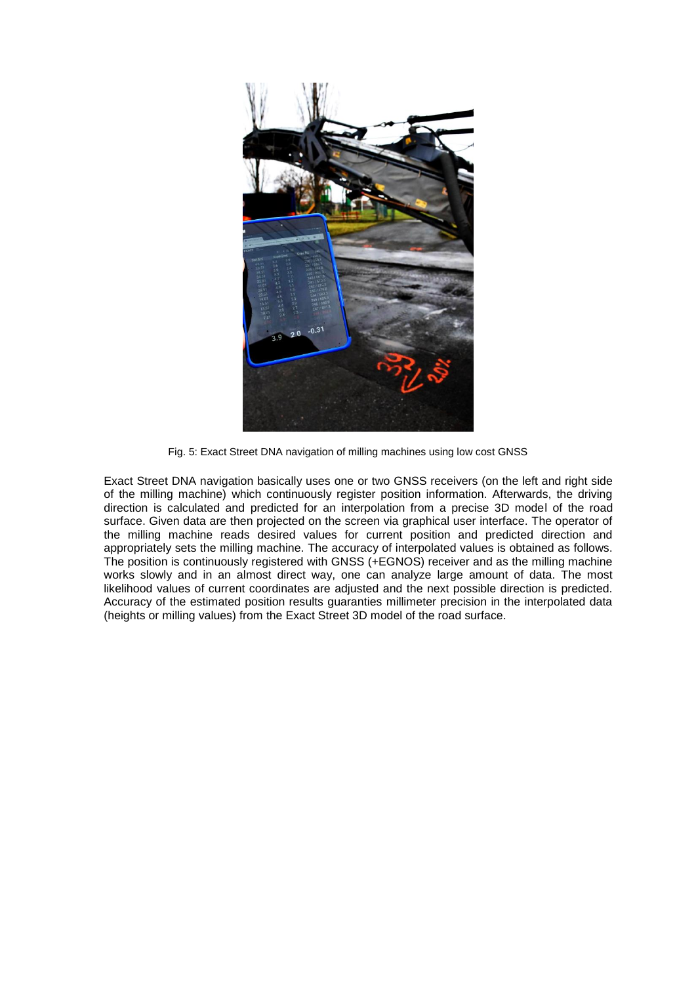

Fig. 5: Exact Street DNA navigation of milling machines using low cost GNSS

Exact Street DNA navigation basically uses one or two GNSS receivers (on the left and right side of the milling machine) which continuously register position information. Afterwards, the driving direction is calculated and predicted for an interpolation from a precise 3D model of the road surface. Given data are then projected on the screen via graphical user interface. The operator of the milling machine reads desired values for current position and predicted direction and appropriately sets the milling machine. The accuracy of interpolated values is obtained as follows. The position is continuously registered with GNSS (+EGNOS) receiver and as the milling machine works slowly and in an almost direct way, one can analyze large amount of data. The most likelihood values of current coordinates are adjusted and the next possible direction is predicted. Accuracy of the estimated position results guaranties millimeter precision in the interpolated data (heights or milling values) from the Exact Street 3D model of the road surface.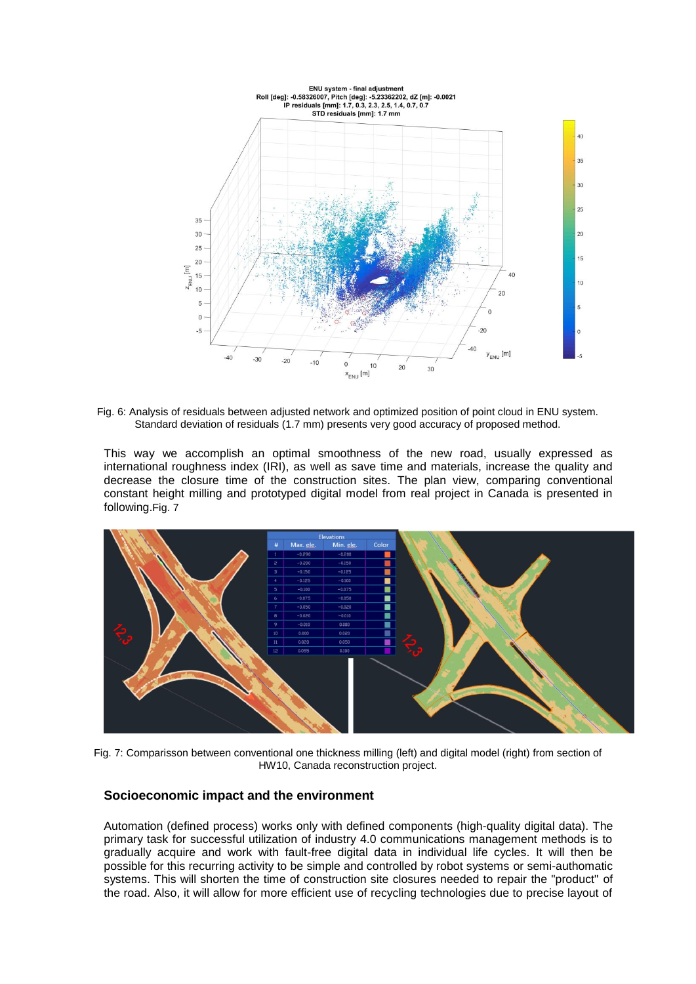

Fig. 6: Analysis of residuals between adjusted network and optimized position of point cloud in ENU system. Standard deviation of residuals (1.7 mm) presents very good accuracy of proposed method.

This way we accomplish an optimal smoothness of the new road, usually expressed as international roughness index (IRI), as well as save time and materials, increase the quality and decrease the closure time of the construction sites. The plan view, comparing conventional constant height milling and prototyped digital model from real project in Canada is presented in following.[Fig. 7](#page-5-0)



<span id="page-5-0"></span>Fig. 7: Comparisson between conventional one thickness milling (left) and digital model (right) from section of HW10, Canada reconstruction project.

### **Socioeconomic impact and the environment**

Automation (defined process) works only with defined components (high-quality digital data). The primary task for successful utilization of industry 4.0 communications management methods is to gradually acquire and work with fault-free digital data in individual life cycles. It will then be possible for this recurring activity to be simple and controlled by robot systems or semi-authomatic systems. This will shorten the time of construction site closures needed to repair the "product" of the road. Also, it will allow for more efficient use of recycling technologies due to precise layout of